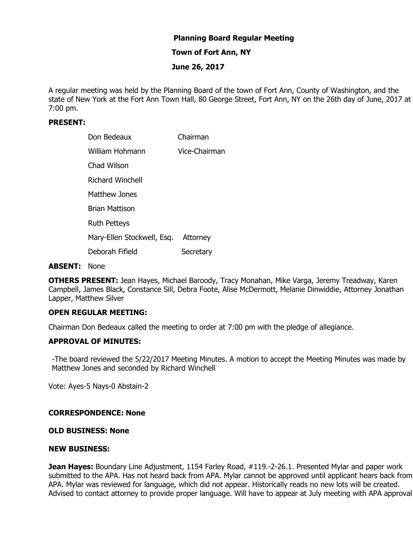# **Planning Board Regular Meeting**

## **Town of Fort Ann, NY**

# **June 26, 2017**

A regular meeting was held by the Planning Board of the town of Fort Ann, County of Washington, and the state of New York at the Fort Ann Town Hall, 80 George Street, Fort Ann, NY on the 26th day of June, 2017 at 7:00 pm.

# **PRESENT:**

| Don Bedeaux                | Chairman      |
|----------------------------|---------------|
| <b>William Hohmann</b>     | Vice-Chairman |
| Chad Wilson                |               |
| <b>Richard Winchell</b>    |               |
| Matthew Jones              |               |
| <b>Brian Mattison</b>      |               |
| <b>Ruth Petteys</b>        |               |
| Mary-Ellen Stockwell, Esq. | Attorney      |
| Deborah Fifield            | Secretary     |

#### **ABSENT:** None

**OTHERS PRESENT:** Jean Hayes, Michael Baroody, Tracy Monahan, Mike Varga, Jeremy Treadway, Karen Campbell, James Black, Constance Sill, Debra Foote, Alise McDermott, Melanie Dinwiddie, Attorney Jonathan Lapper, Matthew Silver

### **OPEN REGULAR MEETING:**

Chairman Don Bedeaux called the meeting to order at 7:00 pm with the pledge of allegiance.

# **APPROVAL OF MINUTES:**

-The board reviewed the 5/22/2017 Meeting Minutes. A motion to accept the Meeting Minutes was made by Matthew Jones and seconded by Richard Winchell

Vote: Ayes-5 Nays-0 Abstain-2

### **CORRESPONDENCE: None**

### **OLD BUSINESS: None**

#### **NEW BUSINESS:**

**Jean Hayes:** Boundary Line Adjustment, 1154 Farley Road, #119.-2-26.1. Presented Mylar and paper work submitted to the APA. Has not heard back from APA. Mylar cannot be approved until applicant hears back from APA. Mylar was reviewed for language, which did not appear. Historically reads no new lots will be created. Advised to contact attorney to provide proper language. Will have to appear at July meeting with APA approval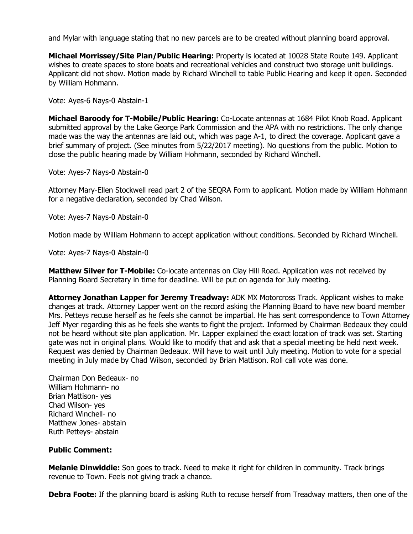and Mylar with language stating that no new parcels are to be created without planning board approval.

**Michael Morrissey/Site Plan/Public Hearing:** Property is located at 10028 State Route 149. Applicant wishes to create spaces to store boats and recreational vehicles and construct two storage unit buildings. Applicant did not show. Motion made by Richard Winchell to table Public Hearing and keep it open. Seconded by William Hohmann.

Vote: Ayes-6 Nays-0 Abstain-1

**Michael Baroody for T-Mobile/Public Hearing:** Co-Locate antennas at 1684 Pilot Knob Road. Applicant submitted approval by the Lake George Park Commission and the APA with no restrictions. The only change made was the way the antennas are laid out, which was page A-1, to direct the coverage. Applicant gave a brief summary of project. (See minutes from 5/22/2017 meeting). No questions from the public. Motion to close the public hearing made by William Hohmann, seconded by Richard Winchell.

Vote: Ayes-7 Nays-0 Abstain-0

Attorney Mary-Ellen Stockwell read part 2 of the SEQRA Form to applicant. Motion made by William Hohmann for a negative declaration, seconded by Chad Wilson.

Vote: Ayes-7 Nays-0 Abstain-0

Motion made by William Hohmann to accept application without conditions. Seconded by Richard Winchell.

Vote: Ayes-7 Nays-0 Abstain-0

**Matthew Silver for T-Mobile:** Co-locate antennas on Clay Hill Road. Application was not received by Planning Board Secretary in time for deadline. Will be put on agenda for July meeting.

**Attorney Jonathan Lapper for Jeremy Treadway:** ADK MX Motorcross Track. Applicant wishes to make changes at track. Attorney Lapper went on the record asking the Planning Board to have new board member Mrs. Petteys recuse herself as he feels she cannot be impartial. He has sent correspondence to Town Attorney Jeff Myer regarding this as he feels she wants to fight the project. Informed by Chairman Bedeaux they could not be heard without site plan application. Mr. Lapper explained the exact location of track was set. Starting gate was not in original plans. Would like to modify that and ask that a special meeting be held next week. Request was denied by Chairman Bedeaux. Will have to wait until July meeting. Motion to vote for a special meeting in July made by Chad Wilson, seconded by Brian Mattison. Roll call vote was done.

Chairman Don Bedeaux- no William Hohmann- no Brian Mattison- yes Chad Wilson- yes Richard Winchell- no Matthew Jones- abstain Ruth Petteys- abstain

### **Public Comment:**

**Melanie Dinwiddie:** Son goes to track. Need to make it right for children in community. Track brings revenue to Town. Feels not giving track a chance.

**Debra Foote:** If the planning board is asking Ruth to recuse herself from Treadway matters, then one of the